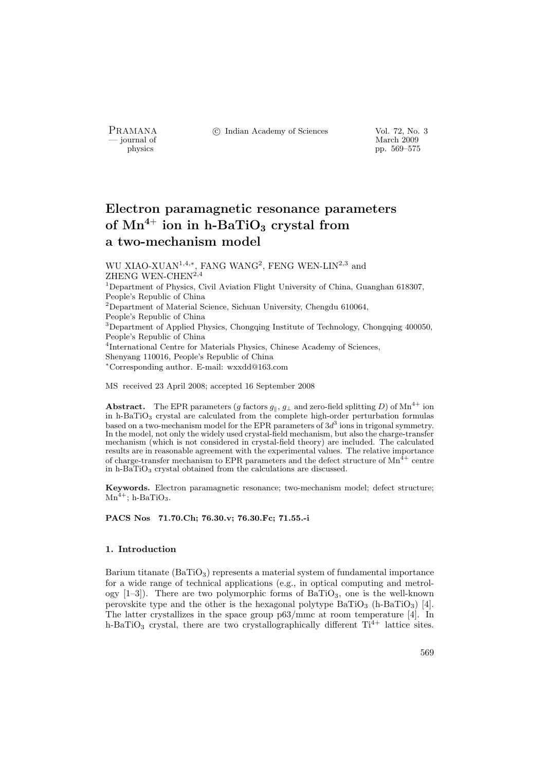- journal of<br>physics

PRAMANA <sup>C</sup> Indian Academy of Sciences Vol. 72, No. 3<br>
— journal of March 2009

physics pp. 569–575

# Electron paramagnetic resonance parameters of  $Mn^{4+}$  ion in h-BaTiO<sub>3</sub> crystal from a two-mechanism model

WU XIAO-XUAN<sup>1,4,∗</sup>, FANG WANG<sup>2</sup>, FENG WEN-LIN<sup>2,3</sup> and ZHENG WEN-CHEN<sup>2,4</sup>

<sup>1</sup>Department of Physics, Civil Aviation Flight University of China, Guanghan 618307, People's Republic of China

<sup>2</sup>Department of Material Science, Sichuan University, Chengdu 610064,

People's Republic of China

<sup>3</sup>Department of Applied Physics, Chongqing Institute of Technology, Chongqing 400050, People's Republic of China

4 International Centre for Materials Physics, Chinese Academy of Sciences,

Shenyang 110016, People's Republic of China

<sup>∗</sup>Corresponding author. E-mail: wxxdd@163.com

MS received 23 April 2008; accepted 16 September 2008

Abstract. The EPR parameters (g factors  $g_{\parallel}$ ,  $g_{\perp}$  and zero-field splitting D) of Mn<sup>4+</sup> ion in h-BaTiO<sup>3</sup> crystal are calculated from the complete high-order perturbation formulas based on a two-mechanism model for the EPR parameters of  $3d<sup>3</sup>$  ions in trigonal symmetry. In the model, not only the widely used crystal-field mechanism, but also the charge-transfer mechanism (which is not considered in crystal-field theory) are included. The calculated results are in reasonable agreement with the experimental values. The relative importance of charge-transfer mechanism to EPR parameters and the defect structure of  $Mn^{4+}$  centre in h-BaTiO<sup>3</sup> crystal obtained from the calculations are discussed.

Keywords. Electron paramagnetic resonance; two-mechanism model; defect structure;  $Mn^{4+}$ ; h-BaTiO<sub>3</sub>.

PACS Nos 71.70.Ch; 76.30.v; 76.30.Fc; 71.55.-i

## 1. Introduction

Barium titanate  $(BaTiO<sub>3</sub>)$  represents a material system of fundamental importance for a wide range of technical applications (e.g., in optical computing and metrology  $[1-3]$ . There are two polymorphic forms of BaTiO<sub>3</sub>, one is the well-known perovskite type and the other is the hexagonal polytype  $BaTiO<sub>3</sub>$  (h-BaTiO<sub>3</sub>) [4]. The latter crystallizes in the space group p63/mmc at room temperature [4]. In h-BaTiO<sub>3</sub> crystal, there are two crystallographically different  $Ti^{4+}$  lattice sites.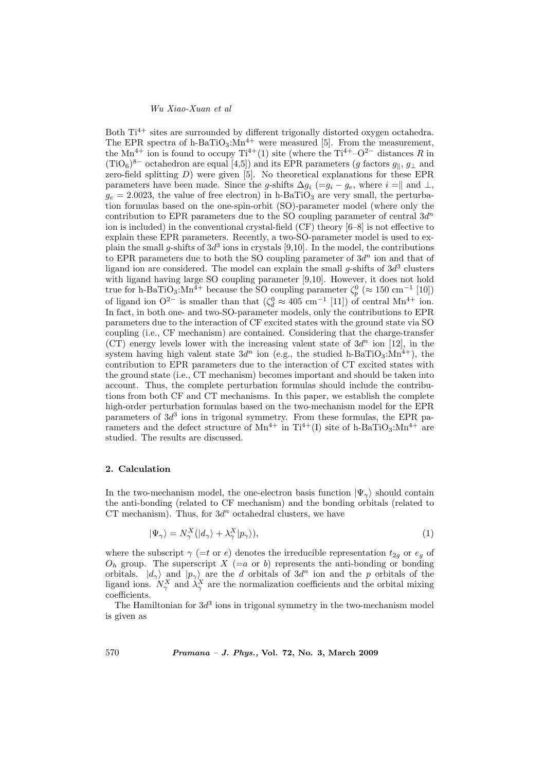### Wu Xiao-Xuan et al

Both  $Ti<sup>4+</sup>$  sites are surrounded by different trigonally distorted oxygen octahedra. The EPR spectra of h-BaTiO<sub>3</sub>: $Mn^{4+}$  were measured [5]. From the measurement, the Mn<sup>4+</sup> ion is found to occupy Ti<sup>4+</sup>(1) site (where the Ti<sup>4+</sup>–O<sup>2−</sup> distances R in  $(TiO<sub>6</sub>)<sup>8-</sup>$  octahedron are equal [4,5]) and its EPR parameters (g factors  $g_{\parallel}, g_{\perp}$  and zero-field splitting  $D$ ) were given [5]. No theoretical explanations for these EPR parameters have been made. Since the g-shifts  $\Delta g_i$  (=g<sub>i</sub> – g<sub>e</sub>, where i =|| and ⊥,  $g_e = 2.0023$ , the value of free electron) in h-BaTiO<sub>3</sub> are very small, the perturbation formulas based on the one-spin-orbit (SO)-parameter model (where only the contribution to EPR parameters due to the SO coupling parameter of central  $3d^n$ ion is included) in the conventional crystal-field (CF) theory [6–8] is not effective to explain these EPR parameters. Recently, a two-SO-parameter model is used to explain the small g-shifts of  $3d^3$  ions in crystals [9,10]. In the model, the contributions to EPR parameters due to both the SO coupling parameter of  $3d^n$  ion and that of ligand ion are considered. The model can explain the small g-shifts of  $3d<sup>3</sup>$  clusters with ligand having large SO coupling parameter [9,10]. However, it does not hold true for h-BaTiO<sub>3</sub>:Mn<sup>4+</sup> because the SO coupling parameter  $\zeta_p^0$  ( $\approx 150 \text{ cm}^{-1}$  [10]) of ligand ion O<sup>2-</sup> is smaller than that  $(\zeta_d^0 \approx 405 \text{ cm}^{-1} [11])$  of central Mn<sup>4+</sup> ion. In fact, in both one- and two-SO-parameter models, only the contributions to EPR parameters due to the interaction of CF excited states with the ground state via SO coupling (i.e., CF mechanism) are contained. Considering that the charge-transfer (CT) energy levels lower with the increasing valent state of  $3d^n$  ion [12], in the system having high valent state  $3d^n$  ion (e.g., the studied h-BaTiO<sub>3</sub>:Mn<sup>4+</sup>), the contribution to EPR parameters due to the interaction of CT excited states with the ground state (i.e., CT mechanism) becomes important and should be taken into account. Thus, the complete perturbation formulas should include the contributions from both CF and CT mechanisms. In this paper, we establish the complete high-order perturbation formulas based on the two-mechanism model for the EPR parameters of  $3d^3$  ions in trigonal symmetry. From these formulas, the EPR parameters and the defect structure of  $Mn^{4+}$  in Ti<sup>4+</sup>(I) site of h-BaTiO<sub>3</sub>: $Mn^{4+}$  are studied. The results are discussed.

#### 2. Calculation

In the two-mechanism model, the one-electron basis function  $|\Psi_{\gamma}\rangle$  should contain the anti-bonding (related to CF mechanism) and the bonding orbitals (related to CT mechanism). Thus, for  $3d^n$  octahedral clusters, we have

$$
|\Psi_{\gamma}\rangle = N_{\gamma}^{X} (|d_{\gamma}\rangle + \lambda_{\gamma}^{X} |p_{\gamma}\rangle), \tag{1}
$$

where the subscript  $\gamma$  (=t or e) denotes the irreducible representation  $t_{2g}$  or  $e_g$  of  $O_h$  group. The superscript  $X$  (=a or b) represents the anti-bonding or bonding orbitals.  $|d_{\gamma}\rangle$  and  $|p_{\gamma}\rangle$  are the d orbitals of 3d<sup>n</sup> ion and the p orbitals of the ligand ions.  $N_{\gamma}^{X}$  and  $\lambda_{\gamma}^{X}$  are the normalization coefficients and the orbital mixing coefficients.

The Hamiltonian for  $3d^3$  ions in trigonal symmetry in the two-mechanism model is given as

570 Pramana – J. Phys., Vol. 72, No. 3, March 2009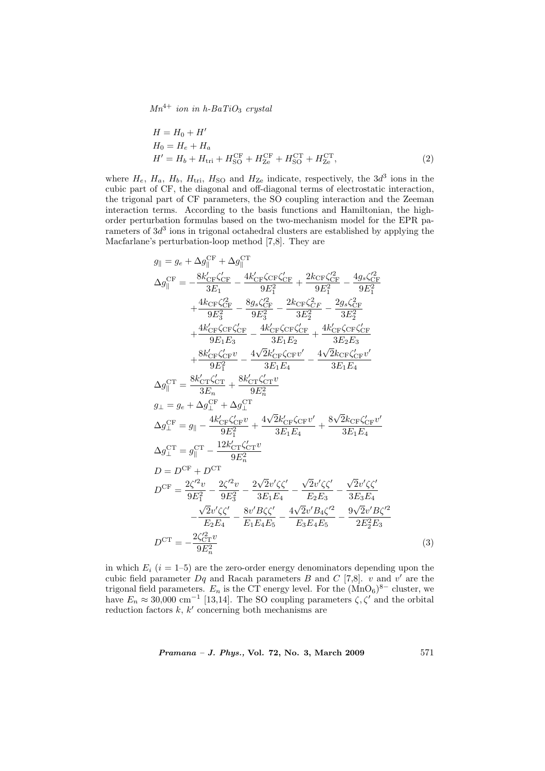$Mn^{4+}$  ion in h-BaTiO<sub>3</sub> crystal

$$
H = H_0 + H'
$$
  
\n
$$
H_0 = H_e + H_a
$$
  
\n
$$
H' = H_b + H_{tri} + H_{SO}^{CF} + H_{Ze}^{CF} + H_{SO}^{CT} + H_{Ze}^{CT},
$$
\n(2)

where  $H_e$ ,  $H_a$ ,  $H_b$ ,  $H_{tri}$ ,  $H_{SO}$  and  $H_{Ze}$  indicate, respectively, the  $3d^3$  ions in the cubic part of CF, the diagonal and off-diagonal terms of electrostatic interaction, the trigonal part of CF parameters, the SO coupling interaction and the Zeeman interaction terms. According to the basis functions and Hamiltonian, the highorder perturbation formulas based on the two-mechanism model for the EPR parameters of  $3d<sup>3</sup>$  ions in trigonal octahedral clusters are established by applying the Macfarlane's perturbation-loop method [7,8]. They are

$$
g_{\parallel} = g_e + \Delta g_{\parallel}^{CF} + \Delta g_{\parallel}^{CT}
$$
  
\n
$$
\Delta g_{\parallel}^{CF} = -\frac{8k'_{CF}\zeta_{CF}}{3E_1} - \frac{4k'_{CF}\zeta_{CF}\zeta_{CF}}{9E_1^2} + \frac{2k_{CF}\zeta_{CF}^2}{9E_1^2} - \frac{4g_s\zeta_{CF}^2}{9E_1^2}
$$
  
\n
$$
+ \frac{4k_{CF}\zeta_{CF}^2}{9E_3^2} - \frac{8g_s\zeta_{CF}^2}{9E_3^2} - \frac{2k_{CF}\zeta_{CF}^2}{3E_2^2} - \frac{2g_s\zeta_{CF}^2}{3E_2^2}
$$
  
\n
$$
+ \frac{4k'_{CF}\zeta_{CF}\zeta_{CF}}{9E_1E_3} - \frac{4k'_{CF}\zeta_{CF}\zeta_{CF}}{3E_1E_2} + \frac{4k'_{CF}\zeta_{CF}\zeta_{CF}\zeta_{CF}}{3E_2E_3}
$$
  
\n
$$
+ \frac{8k'_{CF}\zeta_{CF}^2}{9E_1^2} - \frac{4\sqrt{2}k'_{CF}\zeta_{CF}v'}{3E_1E_4} - \frac{4\sqrt{2}k_{CF}\zeta_{CF}v'}{3E_1E_4}
$$
  
\n
$$
\Delta g_{\parallel}^{CT} = \frac{8k'_{CT}\zeta_{CT}^2}{3E_n} + \frac{8k'_{CT}\zeta_{CF}v}{9E_n^2}
$$
  
\n
$$
g_{\perp} = g_e + \Delta g_{\perp}^{CF} + \Delta g_{\perp}^{CT}
$$
  
\n
$$
\Delta g_{\perp}^{CF} = g_{\parallel} - \frac{4k'_{CF}\zeta_{CF}v}{9E_n^2} + \frac{4\sqrt{2}k'_{CF}\zeta_{CF}v'}{3E_1E_4} + \frac{8\sqrt{2}k_{CF}\zeta_{CF}v'}{3E_1E_4}
$$
  
\n
$$
\Delta g_{\perp}^{CT} = g_{\parallel}^{CT} - \frac{12k'_{CT}\zeta_{CT}v}{9E_n^2}
$$
  
\n
$$
D = D^{CF} + D^{CT}
$$
  
\n

in which  $E_i$  ( $i = 1-5$ ) are the zero-order energy denominators depending upon the cubic field parameter  $Dq$  and Racah parameters B and C [7,8]. v and v' are the trigonal field parameters.  $E_n$  is the CT energy level. For the  $(MnO_6)^{8-}$  cluster, we have  $E_n \approx 30,000 \text{ cm}^{-1}$  [13,14]. The SO coupling parameters  $\zeta, \zeta'$  and the orbital reduction factors  $k, k'$  concerning both mechanisms are

Pramana – J. Phys., Vol. 72, No. 3, March 2009 571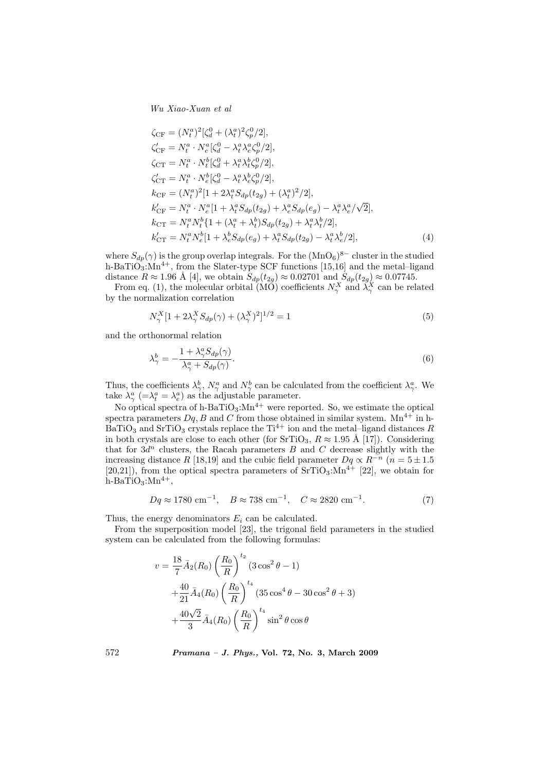Wu Xiao-Xuan et al

$$
\zeta_{CF} = (N_t^a)^2 [\zeta_d^0 + (\lambda_t^a)^2 \zeta_p^0 / 2],
$$
  
\n
$$
\zeta'_{CF} = N_t^a \cdot N_e^a [\zeta_d^0 - \lambda_t^a \lambda_e^a \zeta_p^0 / 2],
$$
  
\n
$$
\zeta_{CT} = N_t^a \cdot N_t^b [\zeta_d^0 + \lambda_t^a \lambda_t^b \zeta_p^0 / 2],
$$
  
\n
$$
\zeta'_{CT} = N_t^a \cdot N_e^b [\zeta_d^0 - \lambda_t^a \lambda_e^b \zeta_p^0 / 2],
$$
  
\n
$$
k_{CF} = (N_t^a)^2 [1 + 2\lambda_t^a S_{dp}(t_{2g}) + (\lambda_t^a)^2 / 2],
$$
  
\n
$$
k'_{CF} = N_t^a \cdot N_e^a [1 + \lambda_t^a S_{dp}(t_{2g}) + \lambda_e^a S_{dp}(e_g) - \lambda_t^a \lambda_e^a / \sqrt{2}],
$$
  
\n
$$
k_{CT} = N_t^a N_t^b [1 + (\lambda_t^a + \lambda_t^b) S_{dp}(t_{2g}) + \lambda_t^a \lambda_t^b / 2],
$$
  
\n
$$
k'_{CT} = N_t^a N_e^b [1 + \lambda_e^b S_{dp}(e_g) + \lambda_t^a S_{dp}(t_{2g}) - \lambda_t^a \lambda_e^b / 2],
$$
  
\n(4)

where  $S_{dp}(\gamma)$  is the group overlap integrals. For the  $(MnO_6)^{8-}$  cluster in the studied h-BaTiO<sub>3</sub>: $Mn^{4+}$ , from the Slater-type SCF functions [15,16] and the metal–ligand distance  $R \approx 1.96$  Å [4], we obtain  $S_{dp}(t_{2g}) \approx 0.02701$  and  $S_{dp}(t_{2g}) \approx 0.07745$ .

From eq. (1), the molecular orbital (MO) coefficients  $N_\gamma^X$  and  $\lambda_\gamma^X$  can be related by the normalization correlation

$$
N_{\gamma}^X [1 + 2\lambda_{\gamma}^X S_{dp}(\gamma) + (\lambda_{\gamma}^X)^2]^{1/2} = 1
$$
\n<sup>(5)</sup>

and the orthonormal relation

$$
\lambda_{\gamma}^{b} = -\frac{1 + \lambda_{\gamma}^{a} S_{dp}(\gamma)}{\lambda_{\gamma}^{a} + S_{dp}(\gamma)}.
$$
\n
$$
(6)
$$

Thus, the coefficients  $\lambda^b_\gamma$ ,  $N^a_\gamma$  and  $N^b_\gamma$  can be calculated from the coefficient  $\lambda^a_\gamma$ . We take  $\lambda_{\gamma}^{a}$  (= $\lambda_{t}^{a}$  =  $\lambda_{e}^{a}$ ) as the adjustable parameter.

No optical spectra of h-BaTiO<sub>3</sub>: $Mn^{4+}$  were reported. So, we estimate the optical spectra parameters  $Dq$ , B and C from those obtained in similar system. Mn<sup>4+</sup> in h- $BaTiO<sub>3</sub>$  and SrTiO<sub>3</sub> crystals replace the Ti<sup>4+</sup> ion and the metal–ligand distances R in both crystals are close to each other (for  $SrTiO_3$ ,  $R \approx 1.95 \text{ Å}$  [17]). Considering that for  $3d^n$  clusters, the Racah parameters B and C decrease slightly with the increasing distance R [18,19] and the cubic field parameter  $Dq \propto R^{-n}$  ( $n = 5 \pm 1.5$ ) [20,21]), from the optical spectra parameters of  $\text{SrTiO}_3$ : $\text{Mn}^{4+}$  [22], we obtain for  $h$ -BaTiO<sub>3</sub>:Mn<sup>4+</sup>,

$$
Dq \approx 1780 \text{ cm}^{-1}, \quad B \approx 738 \text{ cm}^{-1}, \quad C \approx 2820 \text{ cm}^{-1}.
$$
 (7)

Thus, the energy denominators  $E_i$  can be calculated.

From the superposition model [23], the trigonal field parameters in the studied system can be calculated from the following formulas:

$$
v = \frac{18}{7} \bar{A}_2(R_0) \left(\frac{R_0}{R}\right)^{t_2} (3 \cos^2 \theta - 1)
$$
  
+ 
$$
\frac{40}{21} \bar{A}_4(R_0) \left(\frac{R_0}{R}\right)^{t_4} (35 \cos^4 \theta - 30 \cos^2 \theta + 3)
$$
  
+ 
$$
\frac{40\sqrt{2}}{3} \bar{A}_4(R_0) \left(\frac{R_0}{R}\right)^{t_4} \sin^2 \theta \cos \theta
$$

572 Pramana – J. Phys., Vol. 72, No. 3, March 2009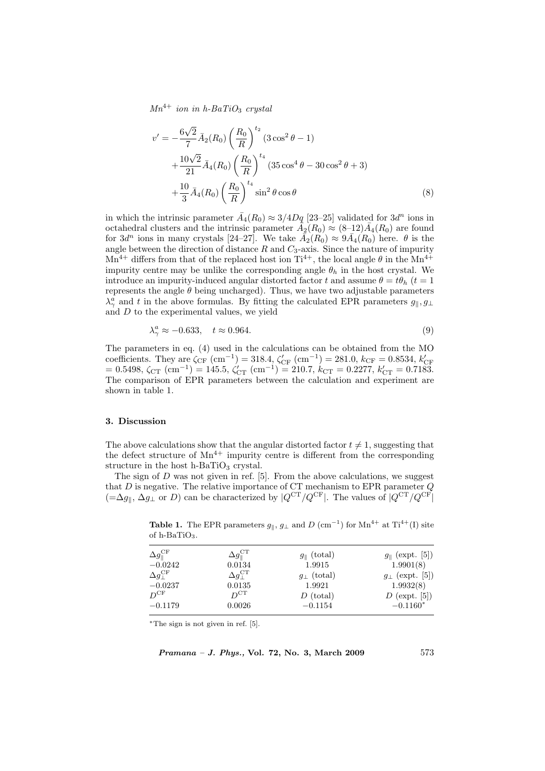$Mn^{4+}$  ion in h-BaTiO<sub>3</sub> crystal

$$
v' = -\frac{6\sqrt{2}}{7} \bar{A}_2(R_0) \left(\frac{R_0}{R}\right)^{t_2} (3\cos^2\theta - 1) + \frac{10\sqrt{2}}{21} \bar{A}_4(R_0) \left(\frac{R_0}{R}\right)^{t_4} (35\cos^4\theta - 30\cos^2\theta + 3) + \frac{10}{3} \bar{A}_4(R_0) \left(\frac{R_0}{R}\right)^{t_4} \sin^2\theta\cos\theta
$$
 (8)

in which the intrinsic parameter  $\bar{A}_4(R_0) \approx 3/4Dq$  [23–25] validated for  $3d^n$  ions in octahedral clusters and the intrinsic parameter  $\bar{A}_2(R_0) \approx (8-12)\bar{A}_4(R_0)$  are found for  $3d^n$  ions in many crystals  $[24-27]$ . We take  $\bar{A_2}(R_0) \approx 9\bar{A_4}(R_0)$  here.  $\theta$  is the angle between the direction of distance  $R$  and  $C_3$ -axis. Since the nature of impurity  $Mn^{4+}$  differs from that of the replaced host ion  $Ti^{4+}$ , the local angle  $\theta$  in the  $Mn^{4+}$ impurity centre may be unlike the corresponding angle  $\theta_h$  in the host crystal. We introduce an impurity-induced angular distorted factor t and assume  $\theta = t\theta_h$  (t = 1) represents the angle  $\theta$  being uncharged). Thus, we have two adjustable parameters  $\lambda_{\gamma}^{a}$  and t in the above formulas. By fitting the calculated EPR parameters  $g_{\parallel}, g_{\perp}$ and  $D$  to the experimental values, we yield

$$
\lambda_{\gamma}^{a} \approx -0.633, \quad t \approx 0.964. \tag{9}
$$

The parameters in eq. (4) used in the calculations can be obtained from the MO coefficients. They are  $\zeta_{CF}$  (cm<sup>-1</sup>) = 318.4,  $\zeta'_{CF}$  (cm<sup>-1</sup>) = 281.0,  $k_{CF}$  = 0.8534,  $k'_{CF}$ <br>= 0.5498,  $\zeta_{CT}$  (cm<sup>-1</sup>) = 145.5,  $\zeta'_{CT}$  (cm<sup>-1</sup>) = 210.7,  $k_{CT}$  = 0.2277,  $k'_{CT}$  = 0.7183. The comparison of EPR parameters between the calculation and experiment are shown in table 1.

#### 3. Discussion

The above calculations show that the angular distorted factor  $t \neq 1$ , suggesting that the defect structure of  $Mn^{4+}$  impurity centre is different from the corresponding structure in the host h-BaTi $O_3$  crystal.

The sign of  $D$  was not given in ref. [5]. From the above calculations, we suggest that  $D$  is negative. The relative importance of CT mechanism to EPR parameter  $Q$  $(=\Delta g_{\parallel}, \Delta g_{\perp}$  or D) can be characterized by  $|Q^{\text{CT}}/Q^{\text{CF}}|$ . The values of  $|Q^{\text{CT}}/Q^{\text{CF}}|$ 

| $-11.2$                         |                                      |                         |                             |
|---------------------------------|--------------------------------------|-------------------------|-----------------------------|
| $\Delta g_{\parallel}^{\rm CF}$ | $\Delta g_{\parallel}^{\mathrm{CT}}$ | $g_{\parallel}$ (total) | $g_{\parallel}$ (expt. [5]) |
| $-0.0242$                       | 0.0134                               | 1.9915                  | 1.9901(8)                   |
| $\Delta q_{\perp}^{\rm CF}$     | $\Delta g_{\perp}^{\text{CT}}$       | $g_{\perp}$ (total)     | $g_{\perp}$ (expt. [5])     |
| $-0.0237$                       | 0.0135                               | 1.9921                  | 1.9932(8)                   |
| $D^{\rm CF}$                    | $D^{CT}$                             | $D$ (total)             | $D$ (expt. [5])             |
| $-0.1179$                       | 0.0026                               | $-0.1154$               | $-0.1160*$                  |

**Table 1.** The EPR parameters  $g_{\parallel}$ ,  $g_{\perp}$  and D (cm<sup>-1</sup>) for Mn<sup>4+</sup> at Ti<sup>4+</sup>(I) site of h-BaTiO<sub>3</sub>

<sup>∗</sup>The sign is not given in ref. [5].

 $Pramana - J. Phys., Vol. 72, No. 3, March 2009$  573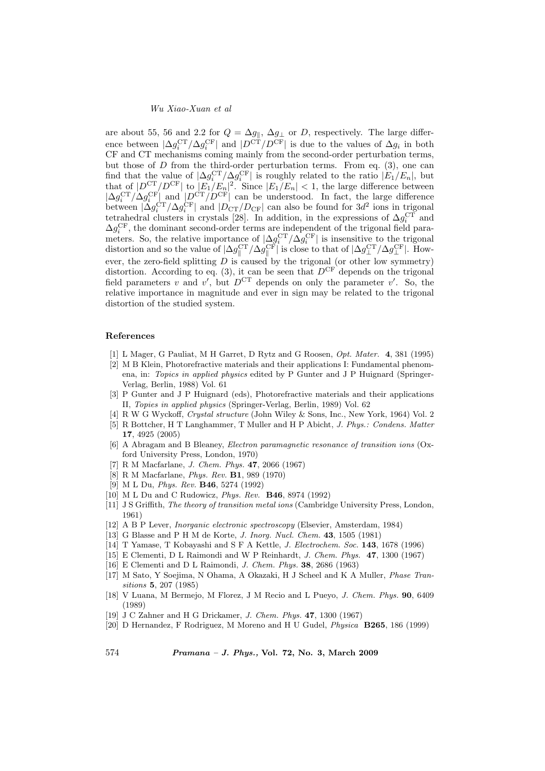#### Wu Xiao-Xuan et al

are about 55, 56 and 2.2 for  $Q = \Delta g_{\parallel}, \Delta g_{\perp}$  or D, respectively. The large difference between  $|\Delta g_i^{\text{CT}}/\Delta g_i^{\text{CF}}|$  and  $|D^{\text{CT}}/D^{\text{CF}}|$  is due to the values of  $\Delta g_i$  in both CF and CT mechanisms coming mainly from the second-order perturbation terms, but those of  $D$  from the third-order perturbation terms. From eq.  $(3)$ , one can find that the value of  $|\Delta g_i^{\text{CT}}/\Delta g_i^{\text{CF}}|$  is roughly related to the ratio  $|E_1/E_n|$ , but that of  $|D^{\text{CT}}/D^{\text{CF}}|$  to  $|E_1/E_n|^2$ . Since  $|E_1/E_n| < 1$ , the large difference between  $|\Delta g_i^{\text{CT}}/\Delta g_i^{\text{CF}}|$  and  $|D^{\text{CT}}/D^{\text{CF}}|$  can be understood. In fact, the large difference between  $|\Delta g_i^{\text{CT}}/\Delta g_i^{\text{CF}}|$  and  $|D_{\text{CT}}/D_{\text{CF}}|$  can also be found for  $3d^2$  ions in trigonal tetrahedral clusters in crystals [28]. In addition, in the expressions of  $\Delta g_i^{\text{CT}}$  and  $\Delta g_i^{\text{CF}}$ , the dominant second-order terms are independent of the trigonal field parameters. So, the relative importance of  $|\Delta g_i^{\text{CT}}/\Delta g_i^{\text{CF}}|$  is insensitive to the trigonal distortion and so the value of  $|\Delta g_{\parallel}^{\text{CT}}/\Delta g_{\parallel}^{\text{CF}}|$  is close to that of  $|\Delta g_{\perp}^{\text{CT}}/\Delta g_{\perp}^{\text{CF}}|$ . However, the zero-field splitting  $D$  is caused by the trigonal (or other low symmetry) distortion. According to eq. (3), it can be seen that  $D^{\text{CF}}$  depends on the trigonal field parameters v and v', but  $D^{CT}$  depends on only the parameter v'. So, the relative importance in magnitude and ever in sign may be related to the trigonal distortion of the studied system.

#### References

- [1] L Mager, G Pauliat, M H Garret, D Rytz and G Roosen, Opt. Mater. 4, 381 (1995)
- [2] M B Klein, Photorefractive materials and their applications I: Fundamental phenomena, in: Topics in applied physics edited by P Gunter and J P Huignard (Springer-Verlag, Berlin, 1988) Vol. 61
- [3] P Gunter and J P Huignard (eds), Photorefractive materials and their applications II, Topies in applied physics (Springer-Verlag, Berlin, 1989) Vol. 62
- [4] R W G Wyckoff, Crystal structure (John Wiley & Sons, Inc., New York, 1964) Vol. 2
- [5] R Bottcher, H T Langhammer, T Muller and H P Abicht, J. Phys.: Condens. Matter 17, 4925 (2005)
- [6] A Abragam and B Bleaney, Electron paramagnetic resonance of transition ions (Oxford University Press, London, 1970)
- [7] R M Macfarlane, J. Chem. Phys. 47, 2066 (1967)
- [8] R M Macfarlane, Phys. Rev. B1, 989 (1970)
- [9] M L Du, Phys. Rev. B46, 5274 (1992)
- [10] M L Du and C Rudowicz, Phys. Rev. B46, 8974 (1992)
- [11] J S Griffith, The theory of transition metal ions (Cambridge University Press, London, 1961)
- [12] A B P Lever, Inorganic electronic spectroscopy (Elsevier, Amsterdam, 1984)
- [13] G Blasse and P H M de Korte, J. Inorg. Nucl. Chem. 43, 1505 (1981)
- [14] T Yamase, T Kobayashi and S F A Kettle, J. Electrochem. Soc. 143, 1678 (1996)
- [15] E Clementi, D L Raimondi and W P Reinhardt, J. Chem. Phys. 47, 1300 (1967)
- [16] E Clementi and D L Raimondi, J. Chem. Phys. 38, 2686 (1963)
- [17] M Sato, Y Soejima, N Ohama, A Okazaki, H J Scheel and K A Muller, Phase Transitions 5, 207 (1985)
- [18] V Luana, M Bermejo, M Florez, J M Recio and L Pueyo, J. Chem. Phys. 90, 6409 (1989)
- [19] J C Zahner and H G Drickamer, J. Chem. Phys. 47, 1300 (1967)
- [20] D Hernandez, F Rodriguez, M Moreno and H U Gudel, Physica B265, 186 (1999)